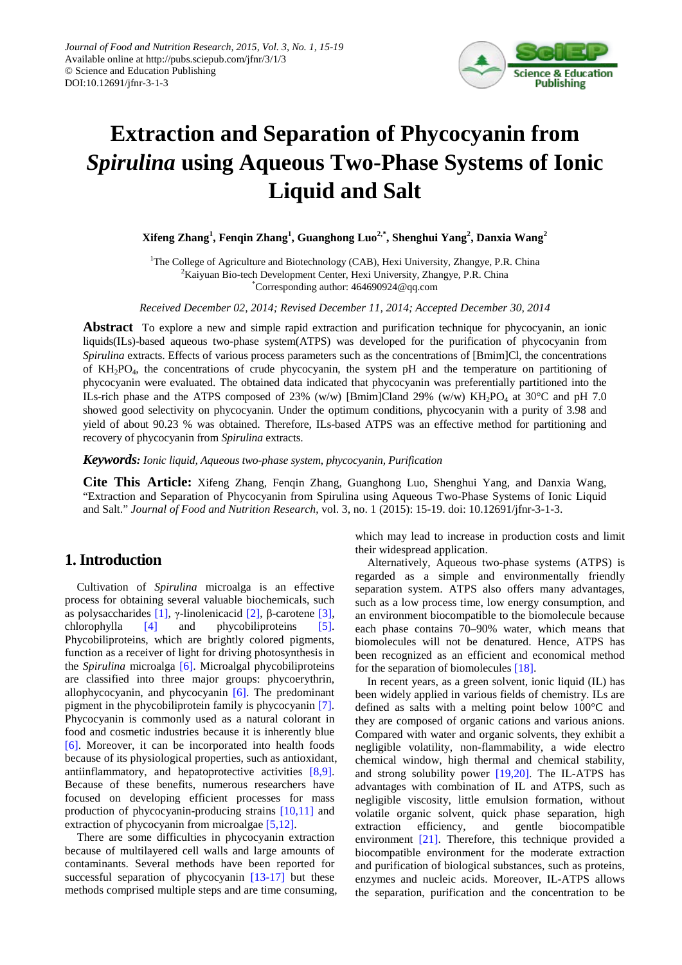

# **Extraction and Separation of Phycocyanin from**  *Spirulina* **using Aqueous Two-Phase Systems of Ionic Liquid and Salt**

**Xifeng Zhang<sup>1</sup> , Fenqin Zhang<sup>1</sup> , Guanghong Luo2,\* , Shenghui Yang<sup>2</sup> , Danxia Wang<sup>2</sup>**

<sup>1</sup>The College of Agriculture and Biotechnology (CAB), Hexi University, Zhangye, P.R. China <sup>2</sup>Kaiyuan Bio-tech Development Center, Hexi University, Zhangye, P.R. China \* Corresponding author[: 464690924@qq.com](mailto:464690924@qq.com)

*Received December 02, 2014; Revised December 11, 2014; Accepted December 30, 2014*

**Abstract** To explore a new and simple rapid extraction and purification technique for phycocyanin, an ionic liquids(ILs)-based aqueous two-phase system(ATPS) was developed for the purification of phycocyanin from *Spirulina* extracts. Effects of various process parameters such as the concentrations of [Bmim]Cl, the concentrations of KH2PO4, the concentrations of crude phycocyanin, the system pH and the temperature on partitioning of phycocyanin were evaluated. The obtained data indicated that phycocyanin was preferentially partitioned into the ILs-rich phase and the ATPS composed of 23% (w/w) [Bmim]Cland 29% (w/w)  $KH_2PO_4$  at 30°C and pH 7.0 showed good selectivity on phycocyanin. Under the optimum conditions, phycocyanin with a purity of 3.98 and yield of about 90.23 % was obtained. Therefore, ILs-based ATPS was an effective method for partitioning and recovery of phycocyanin from *Spirulina* extracts.

*Keywords: Ionic liquid, Aqueous two-phase system, phycocyanin, Purification*

**Cite This Article:** Xifeng Zhang, Fenqin Zhang, Guanghong Luo, Shenghui Yang, and Danxia Wang, "Extraction and Separation of Phycocyanin from Spirulina using Aqueous Two-Phase Systems of Ionic Liquid and Salt." *Journal of Food and Nutrition Research*, vol. 3, no. 1 (2015): 15-19. doi: 10.12691/jfnr-3-1-3.

# **1. Introduction**

Cultivation of *Spirulina* microalga is an effective process for obtaining several valuable biochemicals, such as polysaccharides [\[1\],](#page-4-0) γ-linolenicacid [\[2\],](#page-4-1) β-carotene [\[3\],](#page-4-2) chlorophylla [\[4\]](#page-4-3) and phycobiliproteins [\[5\].](#page-4-4) Phycobiliproteins, which are brightly colored pigments, function as a receiver of light for driving photosynthesis in the *Spirulina* microalga [\[6\].](#page-4-5) Microalgal phycobiliproteins are classified into three major groups: phycoerythrin, allophycocyanin, and phycocyanin [\[6\].](#page-4-5) The predominant pigment in the phycobiliprotein family is phycocyanin [\[7\].](#page-4-6) Phycocyanin is commonly used as a natural colorant in food and cosmetic industries because it is inherently blue [\[6\].](#page-4-5) Moreover, it can be incorporated into health foods because of its physiological properties, such as antioxidant, antiinflammatory, and hepatoprotective activities [\[8,9\].](#page-4-7) Because of these benefits, numerous researchers have focused on developing efficient processes for mass production of phycocyanin-producing strains [\[10,11\]](#page-4-8) and extraction of phycocyanin from microalgae [\[5,12\].](#page-4-4)

There are some difficulties in phycocyanin extraction because of multilayered cell walls and large amounts of contaminants. Several methods have been reported for successful separation of phycocyanin [\[13-17\]](#page-4-9) but these methods comprised multiple steps and are time consuming, which may lead to increase in production costs and limit their widespread application.

Alternatively, Aqueous two-phase systems (ATPS) is regarded as a simple and environmentally friendly separation system. ATPS also offers many advantages, such as a low process time, low energy consumption, and an environment biocompatible to the biomolecule because each phase contains 70–90% water, which means that biomolecules will not be denatured. Hence, ATPS has been recognized as an efficient and economical method for the separation of biomolecules [\[18\].](#page-4-10)

In recent years, as a green solvent, ionic liquid (IL) has been widely applied in various fields of chemistry. ILs are defined as salts with a melting point below 100°C and they are composed of organic cations and various anions. Compared with water and organic solvents, they exhibit a negligible volatility, non-flammability, a wide electro chemical window, high thermal and chemical stability, and strong solubility power [\[19,20\].](#page-4-11) The IL-ATPS has advantages with combination of IL and ATPS, such as negligible viscosity, little emulsion formation, without volatile organic solvent, quick phase separation, high extraction efficiency, and gentle biocompatible environment [\[21\].](#page-4-12) Therefore, this technique provided a biocompatible environment for the moderate extraction and purification of biological substances, such as proteins, enzymes and nucleic acids. Moreover, IL-ATPS allows the separation, purification and the concentration to be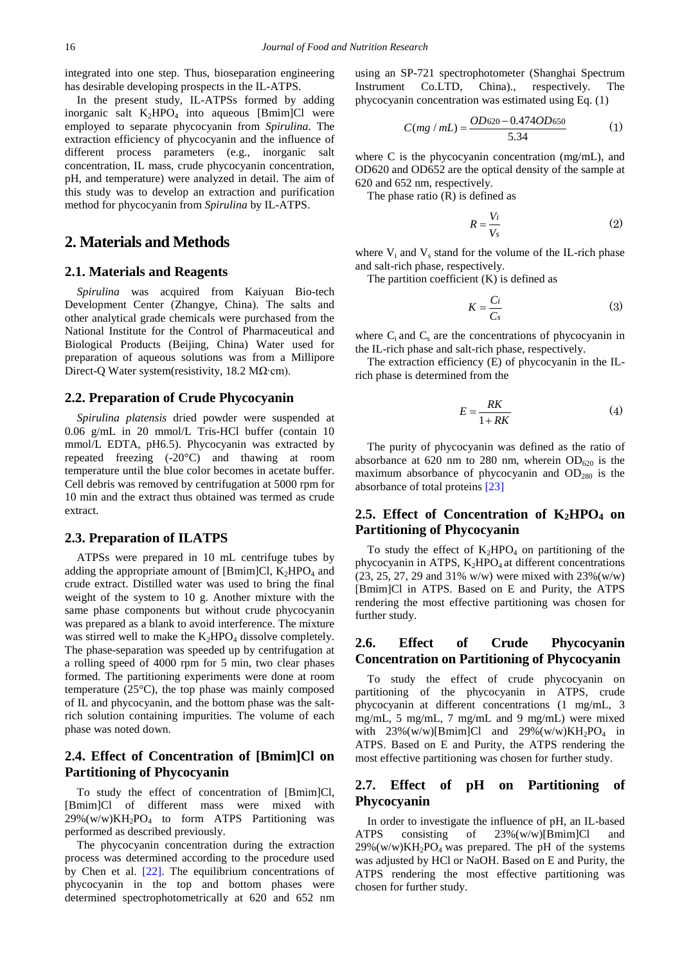integrated into one step. Thus, bioseparation engineering has desirable developing prospects in the IL-ATPS.

In the present study, IL-ATPSs formed by adding inorganic salt  $K_2HPO_4$  into aqueous [Bmim]Cl were employed to separate phycocyanin from *Spirulina*. The extraction efficiency of phycocyanin and the influence of different process parameters (e.g., inorganic salt concentration, IL mass, crude phycocyanin concentration, pH, and temperature) were analyzed in detail. The aim of this study was to develop an extraction and purification method for phycocyanin from *Spirulina* by IL-ATPS.

# **2. Materials and Methods**

#### **2.1. Materials and Reagents**

*Spirulina* was acquired from Kaiyuan Bio-tech Development Center (Zhangye, China). The salts and other analytical grade chemicals were purchased from the National Institute for the Control of Pharmaceutical and Biological Products (Beijing, China) Water used for preparation of aqueous solutions was from a Millipore Direct-Q Water system(resistivity, 18.2 MΩ·cm).

#### **2.2. Preparation of Crude Phycocyanin**

*Spirulina platensis* dried powder were suspended at 0.06 g/mL in 20 mmol/L Tris-HCl buffer (contain 10 mmol/L EDTA, pH6.5). Phycocyanin was extracted by repeated freezing (-20°C) and thawing at room temperature until the blue color becomes in acetate buffer. Cell debris was removed by centrifugation at 5000 rpm for 10 min and the extract thus obtained was termed as crude extract.

### **2.3. Preparation of ILATPS**

ATPSs were prepared in 10 mL centrifuge tubes by adding the appropriate amount of [Bmim]Cl,  $K_2HPO_4$  and crude extract. Distilled water was used to bring the final weight of the system to 10 g. Another mixture with the same phase components but without crude phycocyanin was prepared as a blank to avoid interference. The mixture was stirred well to make the  $K_2HPO_4$  dissolve completely. The phase-separation was speeded up by centrifugation at a rolling speed of 4000 rpm for 5 min, two clear phases formed. The partitioning experiments were done at room temperature (25°C), the top phase was mainly composed of IL and phycocyanin, and the bottom phase was the saltrich solution containing impurities. The volume of each phase was noted down.

## **2.4. Effect of Concentration of [Bmim]Cl on Partitioning of Phycocyanin**

To study the effect of concentration of [Bmim]Cl, [Bmim]Cl of different mass were mixed with  $29\%$ (w/w)KH<sub>2</sub>PO<sub>4</sub> to form ATPS Partitioning was performed as described previously.

The phycocyanin concentration during the extraction process was determined according to the procedure used by Chen et al. [\[22\].](#page-4-13) The equilibrium concentrations of phycocyanin in the top and bottom phases were determined spectrophotometrically at 620 and 652 nm using an SP-721 spectrophotometer (Shanghai Spectrum Instrument Co.LTD, China)., respectively. The phycocyanin concentration was estimated using Eq. (1)

$$
C(mg / mL) = \frac{OD620 - 0.474OD650}{5.34} \tag{1}
$$

where C is the phycocyanin concentration (mg/mL), and OD620 and OD652 are the optical density of the sample at 620 and 652 nm, respectively.

The phase ratio (R) is defined as

$$
R = \frac{V_i}{V_s} \tag{2}
$$

where  $V_i$  and  $V_s$  stand for the volume of the IL-rich phase and salt-rich phase, respectively.

The partition coefficient  $(K)$  is defined as

$$
K = \frac{Ci}{Cs} \tag{3}
$$

where  $C_i$  and  $C_s$  are the concentrations of phycocyanin in the IL-rich phase and salt-rich phase, respectively.

The extraction efficiency (E) of phycocyanin in the ILrich phase is determined from the

$$
E = \frac{RK}{1 + RK} \tag{4}
$$

The purity of phycocyanin was defined as the ratio of absorbance at 620 nm to 280 nm, wherein  $OD_{620}$  is the maximum absorbance of phycocyanin and  $OD_{280}$  is the absorbance of total proteins [\[23\]](#page-4-14)

# 2.5. Effect of Concentration of K<sub>2</sub>HPO<sub>4</sub> on **Partitioning of Phycocyanin**

To study the effect of  $K_2HPO_4$  on partitioning of the phycocyanin in ATPS,  $K_2HPO_4$  at different concentrations  $(23, 25, 27, 29, 31\%$  w/w) were mixed with  $23\%$  (w/w) [Bmim]Cl in ATPS. Based on E and Purity, the ATPS rendering the most effective partitioning was chosen for further study.

#### **2.6. Effect of Crude Phycocyanin Concentration on Partitioning of Phycocyanin**

To study the effect of crude phycocyanin on partitioning of the phycocyanin in ATPS, crude phycocyanin at different concentrations (1 mg/mL, 3 mg/mL, 5 mg/mL, 7 mg/mL and 9 mg/mL) were mixed with  $23\%$ (w/w)[Bmim]Cl and  $29\%$ (w/w)KH<sub>2</sub>PO<sub>4</sub> in ATPS. Based on E and Purity, the ATPS rendering the most effective partitioning was chosen for further study.

## **2.7. Effect of pH on Partitioning of Phycocyanin**

In order to investigate the influence of pH, an IL-based ATPS consisting of 23%(w/w)[Bmim]Cl and  $29\%$ (w/w)KH<sub>2</sub>PO<sub>4</sub> was prepared. The pH of the systems was adjusted by HCl or NaOH. Based on E and Purity, the ATPS rendering the most effective partitioning was chosen for further study.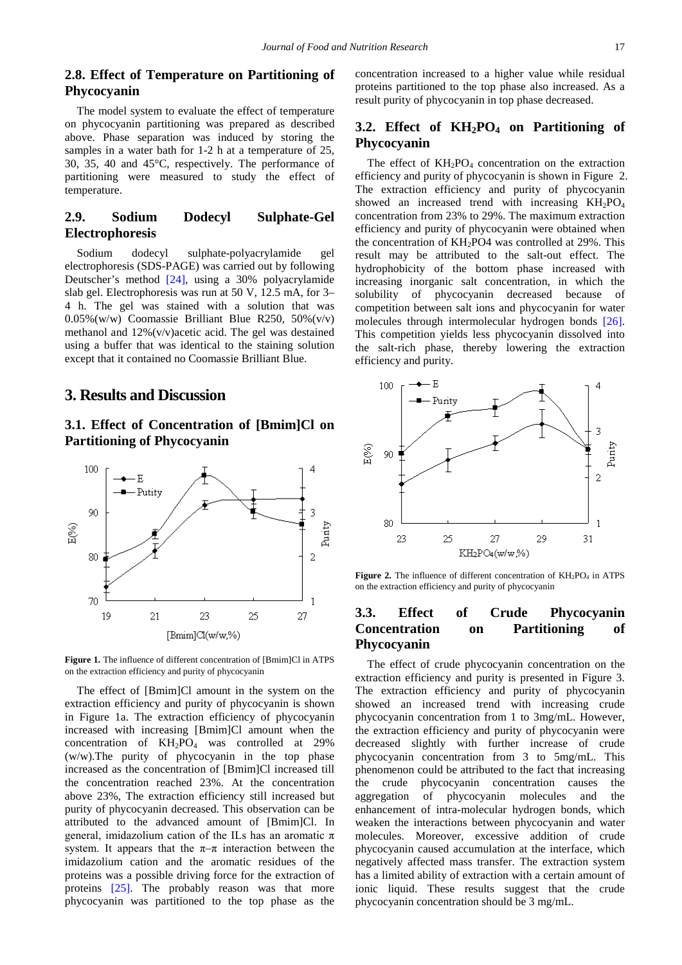## **2.8. Effect of Temperature on Partitioning of Phycocyanin**

The model system to evaluate the effect of temperature on phycocyanin partitioning was prepared as described above. Phase separation was induced by storing the samples in a water bath for 1-2 h at a temperature of 25, 30, 35, 40 and 45°C, respectively. The performance of partitioning were measured to study the effect of temperature.

## **2.9. Sodium Dodecyl Sulphate-Gel Electrophoresis**

Sodium dodecyl sulphate-polyacrylamide gel electrophoresis (SDS-PAGE) was carried out by following Deutscher's method [\[24\],](#page-4-15) using a 30% polyacrylamide slab gel. Electrophoresis was run at 50 V, 12.5 mA, for 3– 4 h. The gel was stained with a solution that was 0.05%(w/w) Coomassie Brilliant Blue R250, 50%(v/v) methanol and 12%(v/v)acetic acid. The gel was destained using a buffer that was identical to the staining solution except that it contained no Coomassie Brilliant Blue.

# **3. Results and Discussion**

# **3.1. Effect of Concentration of [Bmim]Cl on Partitioning of Phycocyanin**





The effect of [Bmim]Cl amount in the system on the extraction efficiency and purity of phycocyanin is shown in Figure 1a. The extraction efficiency of phycocyanin increased with increasing [Bmim]Cl amount when the concentration of  $KH_2PO_4$  was controlled at 29% (w/w).The purity of phycocyanin in the top phase increased as the concentration of [Bmim]Cl increased till the concentration reached 23%. At the concentration above 23%, The extraction efficiency still increased but purity of phycocyanin decreased. This observation can be attributed to the advanced amount of [Bmim]Cl. In general, imidazolium cation of the ILs has an aromatic  $\pi$ system. It appears that the  $\pi-\pi$  interaction between the imidazolium cation and the aromatic residues of the proteins was a possible driving force for the extraction of proteins [\[25\].](#page-4-16) The probably reason was that more phycocyanin was partitioned to the top phase as the

concentration increased to a higher value while residual proteins partitioned to the top phase also increased. As a result purity of phycocyanin in top phase decreased.

# **3.2. Effect of KH2PO4 on Partitioning of Phycocyanin**

The effect of  $KH_2PO_4$  concentration on the extraction efficiency and purity of phycocyanin is shown in Figure 2. The extraction efficiency and purity of phycocyanin showed an increased trend with increasing  $KH_2PO_4$ concentration from 23% to 29%. The maximum extraction efficiency and purity of phycocyanin were obtained when the concentration of KH2PO4 was controlled at 29%. This result may be attributed to the salt-out effect. The hydrophobicity of the bottom phase increased with increasing inorganic salt concentration, in which the solubility of phycocyanin decreased because of competition between salt ions and phycocyanin for water molecules through intermolecular hydrogen bonds [\[26\].](#page-4-17) This competition yields less phycocyanin dissolved into the salt-rich phase, thereby lowering the extraction efficiency and purity.



**Figure 2.** The influence of different concentration of  $KH_2PO_4$  in ATPS on the extraction efficiency and purity of phycocyanin

## **3.3. Effect of Crude Phycocyanin Concentration on Partitioning of Phycocyanin**

The effect of crude phycocyanin concentration on the extraction efficiency and purity is presented in Figure 3. The extraction efficiency and purity of phycocyanin showed an increased trend with increasing crude phycocyanin concentration from 1 to 3mg/mL. However, the extraction efficiency and purity of phycocyanin were decreased slightly with further increase of crude phycocyanin concentration from 3 to 5mg/mL. This phenomenon could be attributed to the fact that increasing the crude phycocyanin concentration causes the aggregation of phycocyanin molecules and the enhancement of intra-molecular hydrogen bonds, which weaken the interactions between phycocyanin and water molecules. Moreover, excessive addition of crude phycocyanin caused accumulation at the interface, which negatively affected mass transfer. The extraction system has a limited ability of extraction with a certain amount of ionic liquid. These results suggest that the crude phycocyanin concentration should be 3 mg/mL.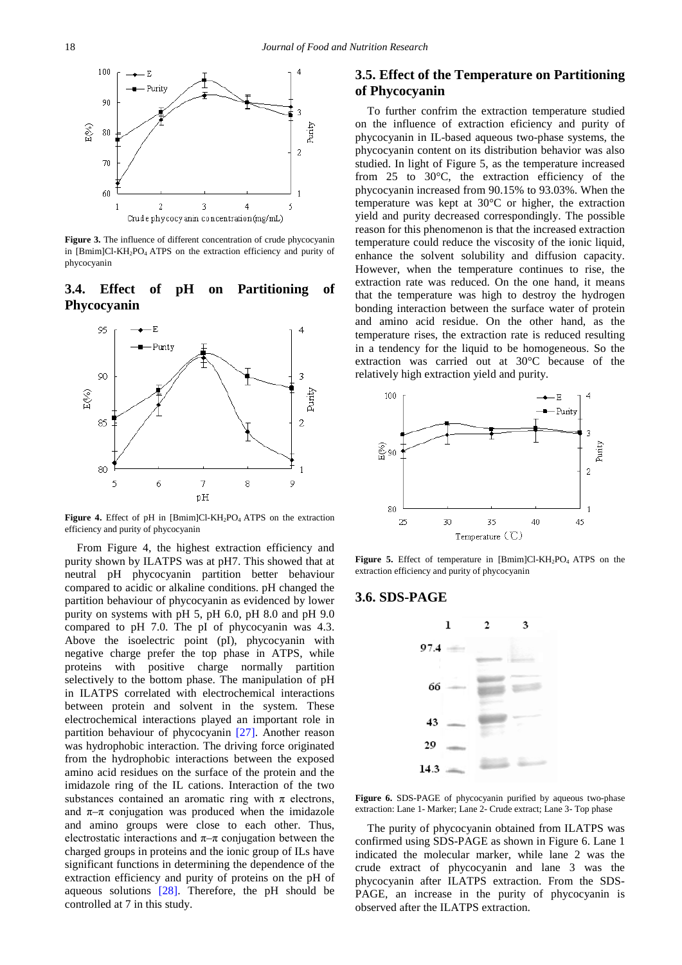

**Figure 3.** The influence of different concentration of crude phycocyanin in [Bmim]Cl-KH<sub>2</sub>PO<sub>4</sub> ATPS on the extraction efficiency and purity of phycocyanin

# **3.4. Effect of pH on Partitioning of Phycocyanin**



Figure 4. Effect of pH in [Bmim]Cl-KH<sub>2</sub>PO<sub>4</sub> ATPS on the extraction efficiency and purity of phycocyanin

From Figure 4, the highest extraction efficiency and purity shown by ILATPS was at pH7. This showed that at neutral pH phycocyanin partition better behaviour compared to acidic or alkaline conditions. pH changed the partition behaviour of phycocyanin as evidenced by lower purity on systems with pH 5, pH 6.0, pH 8.0 and pH 9.0 compared to pH 7.0. The pI of phycocyanin was 4.3. Above the isoelectric point (pI), phycocyanin with negative charge prefer the top phase in ATPS, while proteins with positive charge normally partition selectively to the bottom phase. The manipulation of pH in ILATPS correlated with electrochemical interactions between protein and solvent in the system. These electrochemical interactions played an important role in partition behaviour of phycocyanin [\[27\].](#page-4-18) Another reason was hydrophobic interaction. The driving force originated from the hydrophobic interactions between the exposed amino acid residues on the surface of the protein and the imidazole ring of the IL cations. Interaction of the two substances contained an aromatic ring with  $\pi$  electrons, and  $\pi-\pi$  conjugation was produced when the imidazole and amino groups were close to each other. Thus, electrostatic interactions and  $\pi-\pi$  conjugation between the charged groups in proteins and the ionic group of ILs have significant functions in determining the dependence of the extraction efficiency and purity of proteins on the pH of aqueous solutions  $[28]$ . Therefore, the pH should be controlled at 7 in this study.

# **3.5. Effect of the Temperature on Partitioning of Phycocyanin**

To further confrim the extraction temperature studied on the influence of extraction eficiency and purity of phycocyanin in IL-based aqueous two-phase systems, the phycocyanin content on its distribution behavior was also studied. In light of Figure 5, as the temperature increased from 25 to 30°C, the extraction efficiency of the phycocyanin increased from 90.15% to 93.03%. When the temperature was kept at 30°C or higher, the extraction yield and purity decreased correspondingly. The possible reason for this phenomenon is that the increased extraction temperature could reduce the viscosity of the ionic liquid, enhance the solvent solubility and diffusion capacity. However, when the temperature continues to rise, the extraction rate was reduced. On the one hand, it means that the temperature was high to destroy the hydrogen bonding interaction between the surface water of protein and amino acid residue. On the other hand, as the temperature rises, the extraction rate is reduced resulting in a tendency for the liquid to be homogeneous. So the extraction was carried out at 30°C because of the relatively high extraction yield and purity.



**Figure 5.** Effect of temperature in [Bmim]Cl-KH<sub>2</sub>PO<sub>4</sub> ATPS on the extraction efficiency and purity of phycocyanin

#### **3.6. SDS-PAGE**



**Figure 6.** SDS-PAGE of phycocyanin purified by aqueous two-phase extraction: Lane 1- Marker; Lane 2- Crude extract; Lane 3- Top phase

The purity of phycocyanin obtained from ILATPS was confirmed using SDS-PAGE as shown in Figure 6. Lane 1 indicated the molecular marker, while lane 2 was the crude extract of phycocyanin and lane 3 was the phycocyanin after ILATPS extraction. From the SDS-PAGE, an increase in the purity of phycocyanin is observed after the ILATPS extraction.